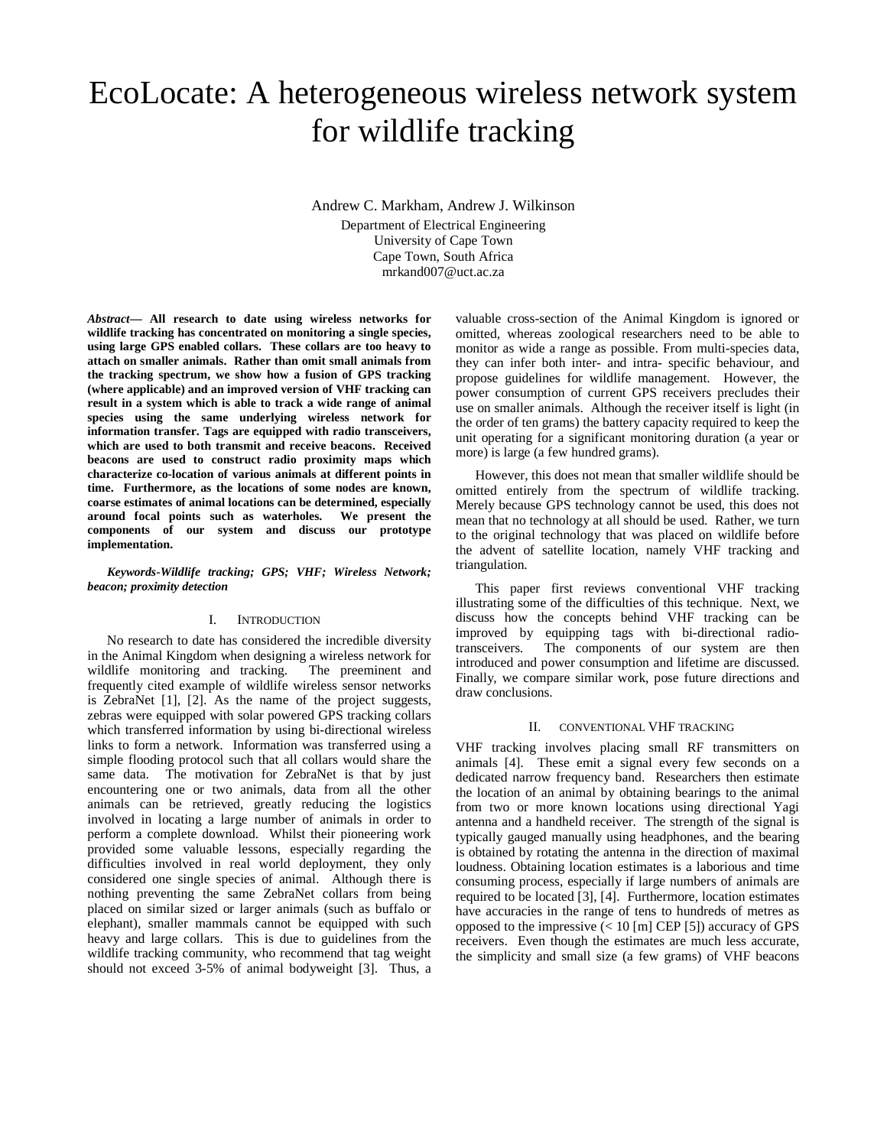# EcoLocate: A heterogeneous wireless network system for wildlife tracking

Andrew C. Markham, Andrew J. Wilkinson Department of Electrical Engineering University of Cape Town Cape Town, South Africa mrkand007@uct.ac.za

*Abstract***— All research to date using wireless networks for wildlife tracking has concentrated on monitoring a single species, using large GPS enabled collars. These collars are too heavy to attach on smaller animals. Rather than omit small animals from the tracking spectrum, we show how a fusion of GPS tracking (where applicable) and an improved version of VHF tracking can result in a system which is able to track a wide range of animal species using the same underlying wireless network for information transfer. Tags are equipped with radio transceivers, which are used to both transmit and receive beacons. Received beacons are used to construct radio proximity maps which characterize co-location of various animals at different points in time. Furthermore, as the locations of some nodes are known, coarse estimates of animal locations can be determined, especially around focal points such as waterholes. We present the components of our system and discuss our prototype implementation.** 

## *Keywords-Wildlife tracking; GPS; VHF; Wireless Network; beacon; proximity detection*

## I. INTRODUCTION

No research to date has considered the incredible diversity in the Animal Kingdom when designing a wireless network for wildlife monitoring and tracking. The preeminent and frequently cited example of wildlife wireless sensor networks is ZebraNet [1], [2]. As the name of the project suggests, zebras were equipped with solar powered GPS tracking collars which transferred information by using bi-directional wireless links to form a network. Information was transferred using a simple flooding protocol such that all collars would share the same data. The motivation for ZebraNet is that by just encountering one or two animals, data from all the other animals can be retrieved, greatly reducing the logistics involved in locating a large number of animals in order to perform a complete download. Whilst their pioneering work provided some valuable lessons, especially regarding the difficulties involved in real world deployment, they only considered one single species of animal. Although there is nothing preventing the same ZebraNet collars from being placed on similar sized or larger animals (such as buffalo or elephant), smaller mammals cannot be equipped with such heavy and large collars. This is due to guidelines from the wildlife tracking community, who recommend that tag weight should not exceed 3-5% of animal bodyweight [3]. Thus, a

valuable cross-section of the Animal Kingdom is ignored or omitted, whereas zoological researchers need to be able to monitor as wide a range as possible. From multi-species data, they can infer both inter- and intra- specific behaviour, and propose guidelines for wildlife management. However, the power consumption of current GPS receivers precludes their use on smaller animals. Although the receiver itself is light (in the order of ten grams) the battery capacity required to keep the unit operating for a significant monitoring duration (a year or more) is large (a few hundred grams).

However, this does not mean that smaller wildlife should be omitted entirely from the spectrum of wildlife tracking. Merely because GPS technology cannot be used, this does not mean that no technology at all should be used. Rather, we turn to the original technology that was placed on wildlife before the advent of satellite location, namely VHF tracking and triangulation.

This paper first reviews conventional VHF tracking illustrating some of the difficulties of this technique. Next, we discuss how the concepts behind VHF tracking can be improved by equipping tags with bi-directional radiotransceivers. The components of our system are then introduced and power consumption and lifetime are discussed. Finally, we compare similar work, pose future directions and draw conclusions.

## II. CONVENTIONAL VHF TRACKING

VHF tracking involves placing small RF transmitters on animals [4]. These emit a signal every few seconds on a dedicated narrow frequency band. Researchers then estimate the location of an animal by obtaining bearings to the animal from two or more known locations using directional Yagi antenna and a handheld receiver. The strength of the signal is typically gauged manually using headphones, and the bearing is obtained by rotating the antenna in the direction of maximal loudness. Obtaining location estimates is a laborious and time consuming process, especially if large numbers of animals are required to be located [3], [4]. Furthermore, location estimates have accuracies in the range of tens to hundreds of metres as opposed to the impressive  $(< 10$  [m] CEP [5]) accuracy of GPS receivers. Even though the estimates are much less accurate, the simplicity and small size (a few grams) of VHF beacons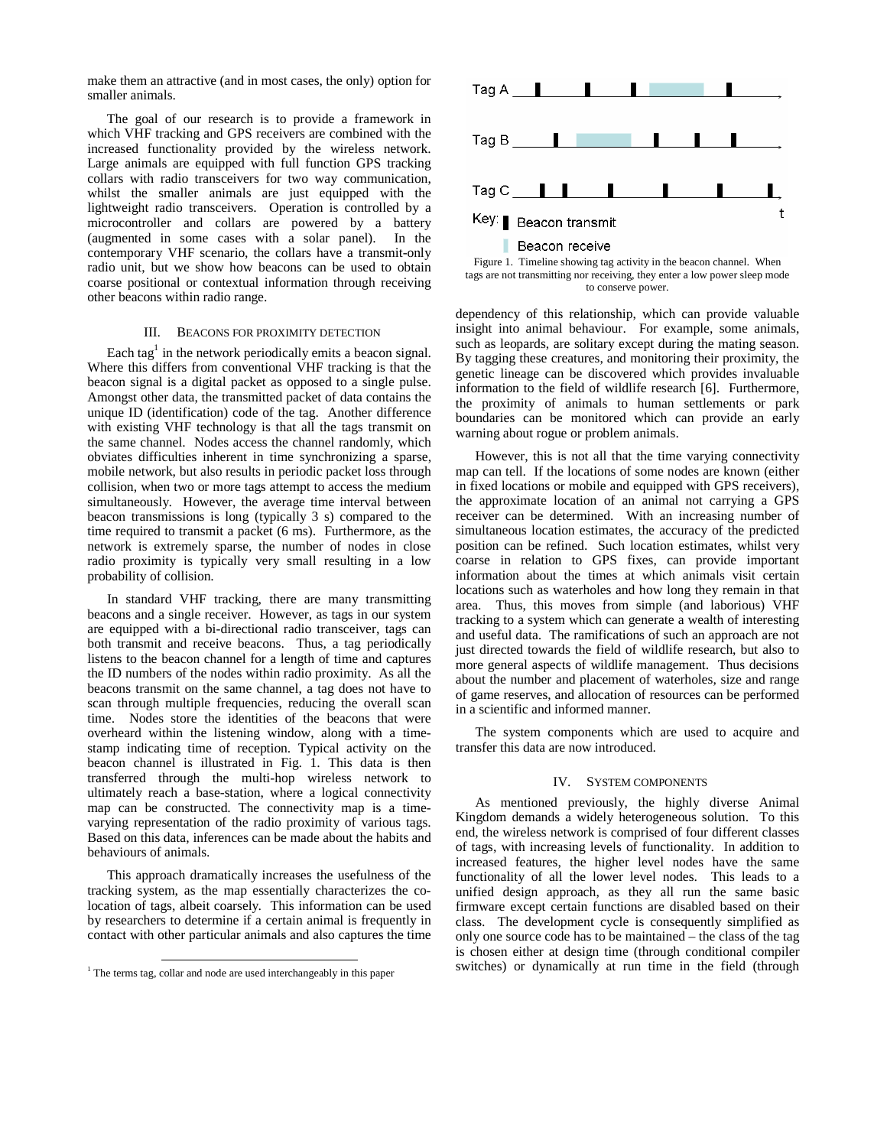make them an attractive (and in most cases, the only) option for smaller animals.

The goal of our research is to provide a framework in which VHF tracking and GPS receivers are combined with the increased functionality provided by the wireless network. Large animals are equipped with full function GPS tracking collars with radio transceivers for two way communication, whilst the smaller animals are just equipped with the lightweight radio transceivers. Operation is controlled by a microcontroller and collars are powered by a battery<br>(augmented in some cases with a solar panel). In the (augmented in some cases with a solar panel). contemporary VHF scenario, the collars have a transmit-only radio unit, but we show how beacons can be used to obtain coarse positional or contextual information through receiving other beacons within radio range.

## III. BEACONS FOR PROXIMITY DETECTION

Each tag<sup>1</sup> in the network periodically emits a beacon signal. Where this differs from conventional VHF tracking is that the beacon signal is a digital packet as opposed to a single pulse. Amongst other data, the transmitted packet of data contains the unique ID (identification) code of the tag. Another difference with existing VHF technology is that all the tags transmit on the same channel. Nodes access the channel randomly, which obviates difficulties inherent in time synchronizing a sparse, mobile network, but also results in periodic packet loss through collision, when two or more tags attempt to access the medium simultaneously. However, the average time interval between beacon transmissions is long (typically 3 s) compared to the time required to transmit a packet (6 ms). Furthermore, as the network is extremely sparse, the number of nodes in close radio proximity is typically very small resulting in a low probability of collision.

In standard VHF tracking, there are many transmitting beacons and a single receiver. However, as tags in our system are equipped with a bi-directional radio transceiver, tags can both transmit and receive beacons. Thus, a tag periodically listens to the beacon channel for a length of time and captures the ID numbers of the nodes within radio proximity. As all the beacons transmit on the same channel, a tag does not have to scan through multiple frequencies, reducing the overall scan time. Nodes store the identities of the beacons that were overheard within the listening window, along with a timestamp indicating time of reception. Typical activity on the beacon channel is illustrated in Fig. 1. This data is then transferred through the multi-hop wireless network to ultimately reach a base-station, where a logical connectivity map can be constructed. The connectivity map is a timevarying representation of the radio proximity of various tags. Based on this data, inferences can be made about the habits and behaviours of animals.

This approach dramatically increases the usefulness of the tracking system, as the map essentially characterizes the colocation of tags, albeit coarsely. This information can be used by researchers to determine if a certain animal is frequently in contact with other particular animals and also captures the time

l





dependency of this relationship, which can provide valuable insight into animal behaviour. For example, some animals, such as leopards, are solitary except during the mating season. By tagging these creatures, and monitoring their proximity, the genetic lineage can be discovered which provides invaluable information to the field of wildlife research [6]. Furthermore, the proximity of animals to human settlements or park boundaries can be monitored which can provide an early warning about rogue or problem animals.

However, this is not all that the time varying connectivity map can tell. If the locations of some nodes are known (either in fixed locations or mobile and equipped with GPS receivers), the approximate location of an animal not carrying a GPS receiver can be determined. With an increasing number of simultaneous location estimates, the accuracy of the predicted position can be refined. Such location estimates, whilst very coarse in relation to GPS fixes, can provide important information about the times at which animals visit certain locations such as waterholes and how long they remain in that area. Thus, this moves from simple (and laborious) VHF tracking to a system which can generate a wealth of interesting and useful data. The ramifications of such an approach are not just directed towards the field of wildlife research, but also to more general aspects of wildlife management. Thus decisions about the number and placement of waterholes, size and range of game reserves, and allocation of resources can be performed in a scientific and informed manner.

The system components which are used to acquire and transfer this data are now introduced.

## IV. SYSTEM COMPONENTS

As mentioned previously, the highly diverse Animal Kingdom demands a widely heterogeneous solution. To this end, the wireless network is comprised of four different classes of tags, with increasing levels of functionality. In addition to increased features, the higher level nodes have the same functionality of all the lower level nodes. This leads to a unified design approach, as they all run the same basic firmware except certain functions are disabled based on their class. The development cycle is consequently simplified as only one source code has to be maintained – the class of the tag is chosen either at design time (through conditional compiler switches) or dynamically at run time in the field (through

<sup>&</sup>lt;sup>1</sup> The terms tag, collar and node are used interchangeably in this paper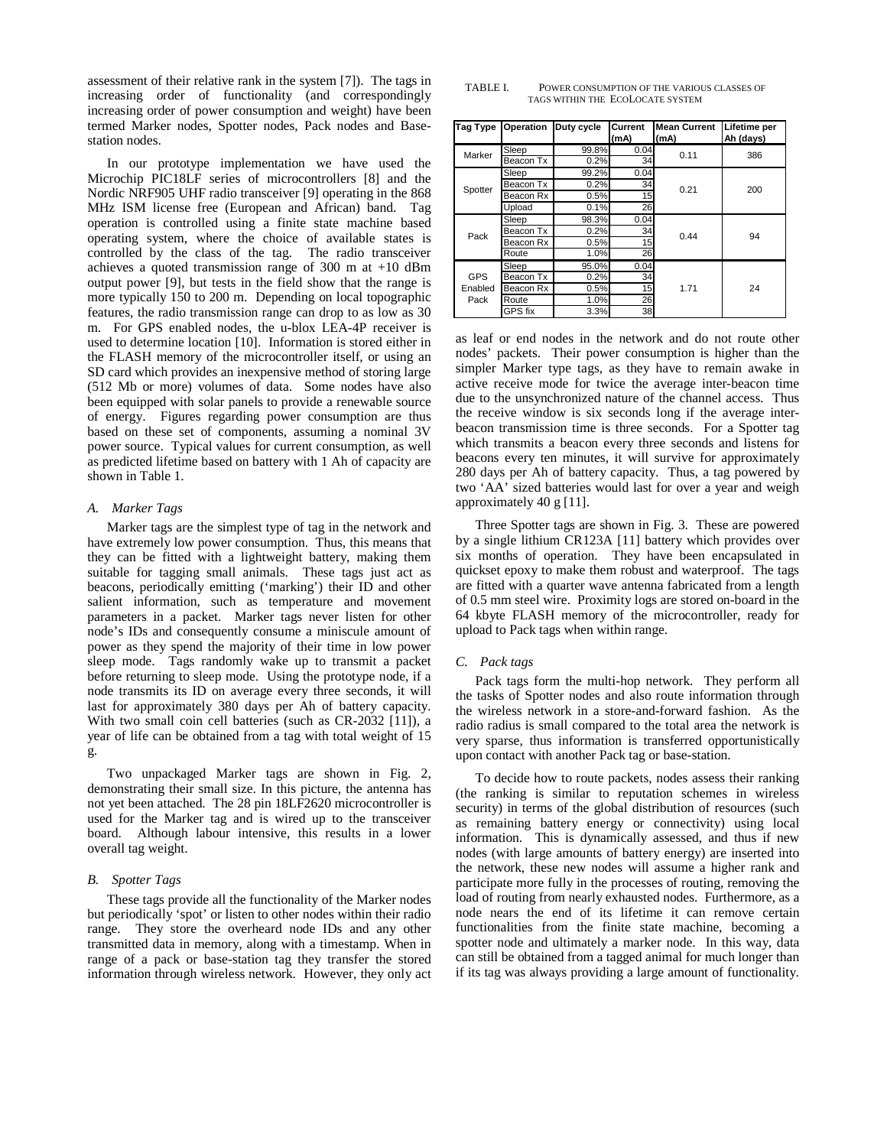assessment of their relative rank in the system [7]). The tags in increasing order of functionality (and correspondingly increasing order of power consumption and weight) have been termed Marker nodes, Spotter nodes, Pack nodes and Basestation nodes.

In our prototype implementation we have used the Microchip PIC18LF series of microcontrollers [8] and the Nordic NRF905 UHF radio transceiver [9] operating in the 868 MHz ISM license free (European and African) band. Tag operation is controlled using a finite state machine based operating system, where the choice of available states is controlled by the class of the tag. The radio transceiver achieves a quoted transmission range of 300 m at +10 dBm output power [9], but tests in the field show that the range is more typically 150 to 200 m. Depending on local topographic features, the radio transmission range can drop to as low as 30 m. For GPS enabled nodes, the u-blox LEA-4P receiver is used to determine location [10]. Information is stored either in the FLASH memory of the microcontroller itself, or using an SD card which provides an inexpensive method of storing large (512 Mb or more) volumes of data. Some nodes have also been equipped with solar panels to provide a renewable source of energy. Figures regarding power consumption are thus based on these set of components, assuming a nominal 3V power source. Typical values for current consumption, as well as predicted lifetime based on battery with 1 Ah of capacity are shown in Table 1.

## *A. Marker Tags*

Marker tags are the simplest type of tag in the network and have extremely low power consumption. Thus, this means that they can be fitted with a lightweight battery, making them suitable for tagging small animals. These tags just act as beacons, periodically emitting ('marking') their ID and other salient information, such as temperature and movement parameters in a packet. Marker tags never listen for other node's IDs and consequently consume a miniscule amount of power as they spend the majority of their time in low power sleep mode. Tags randomly wake up to transmit a packet before returning to sleep mode. Using the prototype node, if a node transmits its ID on average every three seconds, it will last for approximately 380 days per Ah of battery capacity. With two small coin cell batteries (such as CR-2032 [11]), a year of life can be obtained from a tag with total weight of 15 g.

Two unpackaged Marker tags are shown in Fig. 2, demonstrating their small size. In this picture, the antenna has not yet been attached. The 28 pin 18LF2620 microcontroller is used for the Marker tag and is wired up to the transceiver board. Although labour intensive, this results in a lower overall tag weight.

## *B. Spotter Tags*

These tags provide all the functionality of the Marker nodes but periodically 'spot' or listen to other nodes within their radio range. They store the overheard node IDs and any other transmitted data in memory, along with a timestamp. When in range of a pack or base-station tag they transfer the stored information through wireless network. However, they only act

#### TABLE I. POWER CONSUMPTION OF THE VARIOUS CLASSES OF TAGS WITHIN THE ECOLOCATE SYSTEM

| <b>Tag Type</b>               | Operation | Duty cycle | Current | Mean Current | Lifetime per |
|-------------------------------|-----------|------------|---------|--------------|--------------|
|                               |           |            | (mA)    | (mA)         | Ah (days)    |
| Marker                        | Sleep     | 99.8%      | 0.04    | 0.11         | 386          |
|                               | Beacon Tx | 0.2%       | 34      |              |              |
| Spotter                       | Sleep     | 99.2%      | 0.04    | 0.21         | 200          |
|                               | Beacon Tx | 0.2%       | 34      |              |              |
|                               | Beacon Rx | 0.5%       | 15      |              |              |
|                               | Upload    | 0.1%       | 26      |              |              |
| Pack                          | Sleep     | 98.3%      | 0.04    | 0.44         | 94           |
|                               | Beacon Tx | 0.2%       | 34      |              |              |
|                               | Beacon Rx | 0.5%       | 15      |              |              |
|                               | Route     | 1.0%       | 26      |              |              |
| <b>GPS</b><br>Enabled<br>Pack | Sleep     | 95.0%      | 0.04    |              |              |
|                               | Beacon Tx | 0.2%       | 34      | 1.71         | 24           |
|                               | Beacon Rx | 0.5%       | 15      |              |              |
|                               | Route     | 1.0%       | 26      |              |              |
|                               | GPS fix   | 3.3%       | 38      |              |              |

as leaf or end nodes in the network and do not route other nodes' packets. Their power consumption is higher than the simpler Marker type tags, as they have to remain awake in active receive mode for twice the average inter-beacon time due to the unsynchronized nature of the channel access. Thus the receive window is six seconds long if the average interbeacon transmission time is three seconds. For a Spotter tag which transmits a beacon every three seconds and listens for beacons every ten minutes, it will survive for approximately 280 days per Ah of battery capacity. Thus, a tag powered by two 'AA' sized batteries would last for over a year and weigh approximately 40 g [11].

Three Spotter tags are shown in Fig. 3. These are powered by a single lithium CR123A [11] battery which provides over six months of operation. They have been encapsulated in quickset epoxy to make them robust and waterproof. The tags are fitted with a quarter wave antenna fabricated from a length of 0.5 mm steel wire. Proximity logs are stored on-board in the 64 kbyte FLASH memory of the microcontroller, ready for upload to Pack tags when within range.

## *C. Pack tags*

Pack tags form the multi-hop network. They perform all the tasks of Spotter nodes and also route information through the wireless network in a store-and-forward fashion. As the radio radius is small compared to the total area the network is very sparse, thus information is transferred opportunistically upon contact with another Pack tag or base-station.

To decide how to route packets, nodes assess their ranking (the ranking is similar to reputation schemes in wireless security) in terms of the global distribution of resources (such as remaining battery energy or connectivity) using local information. This is dynamically assessed, and thus if new nodes (with large amounts of battery energy) are inserted into the network, these new nodes will assume a higher rank and participate more fully in the processes of routing, removing the load of routing from nearly exhausted nodes. Furthermore, as a node nears the end of its lifetime it can remove certain functionalities from the finite state machine, becoming a spotter node and ultimately a marker node. In this way, data can still be obtained from a tagged animal for much longer than if its tag was always providing a large amount of functionality.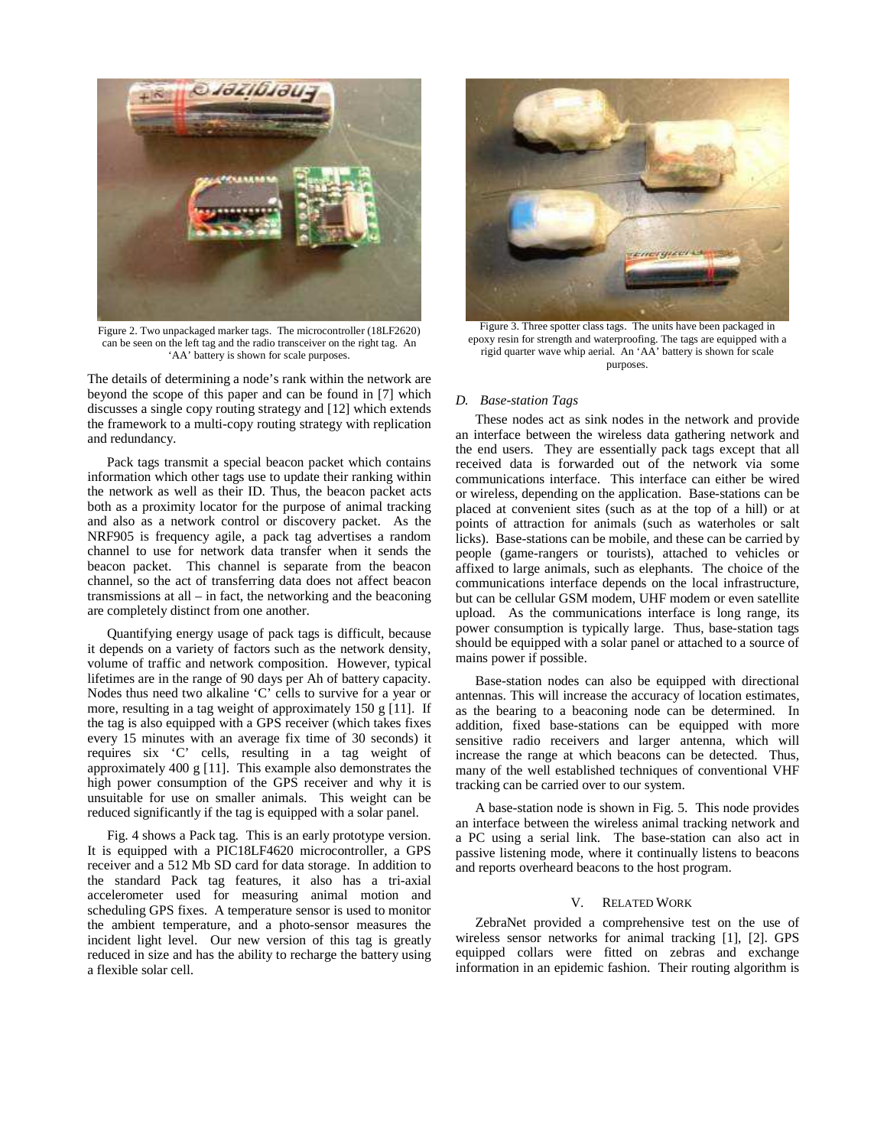

Figure 2. Two unpackaged marker tags. The microcontroller (18LF2620) can be seen on the left tag and the radio transceiver on the right tag. An 'AA' battery is shown for scale purposes.

The details of determining a node's rank within the network are beyond the scope of this paper and can be found in [7] which discusses a single copy routing strategy and [12] which extends the framework to a multi-copy routing strategy with replication and redundancy.

Pack tags transmit a special beacon packet which contains information which other tags use to update their ranking within the network as well as their ID. Thus, the beacon packet acts both as a proximity locator for the purpose of animal tracking and also as a network control or discovery packet. As the NRF905 is frequency agile, a pack tag advertises a random channel to use for network data transfer when it sends the beacon packet. This channel is separate from the beacon channel, so the act of transferring data does not affect beacon transmissions at all – in fact, the networking and the beaconing are completely distinct from one another.

Quantifying energy usage of pack tags is difficult, because it depends on a variety of factors such as the network density, volume of traffic and network composition. However, typical lifetimes are in the range of 90 days per Ah of battery capacity. Nodes thus need two alkaline 'C' cells to survive for a year or more, resulting in a tag weight of approximately 150 g [11]. If the tag is also equipped with a GPS receiver (which takes fixes every 15 minutes with an average fix time of 30 seconds) it requires six 'C' cells, resulting in a tag weight of approximately 400 g [11]. This example also demonstrates the high power consumption of the GPS receiver and why it is unsuitable for use on smaller animals. This weight can be reduced significantly if the tag is equipped with a solar panel.

Fig. 4 shows a Pack tag. This is an early prototype version. It is equipped with a PIC18LF4620 microcontroller, a GPS receiver and a 512 Mb SD card for data storage. In addition to the standard Pack tag features, it also has a tri-axial accelerometer used for measuring animal motion and scheduling GPS fixes. A temperature sensor is used to monitor the ambient temperature, and a photo-sensor measures the incident light level. Our new version of this tag is greatly reduced in size and has the ability to recharge the battery using a flexible solar cell.



Figure 3. Three spotter class tags. The units have been packaged in epoxy resin for strength and waterproofing. The tags are equipped with a rigid quarter wave whip aerial. An 'AA' battery is shown for scale purposes.

## *D. Base-station Tags*

These nodes act as sink nodes in the network and provide an interface between the wireless data gathering network and the end users. They are essentially pack tags except that all received data is forwarded out of the network via some communications interface. This interface can either be wired or wireless, depending on the application. Base-stations can be placed at convenient sites (such as at the top of a hill) or at points of attraction for animals (such as waterholes or salt licks). Base-stations can be mobile, and these can be carried by people (game-rangers or tourists), attached to vehicles or affixed to large animals, such as elephants. The choice of the communications interface depends on the local infrastructure, but can be cellular GSM modem, UHF modem or even satellite upload. As the communications interface is long range, its power consumption is typically large. Thus, base-station tags should be equipped with a solar panel or attached to a source of mains power if possible.

Base-station nodes can also be equipped with directional antennas. This will increase the accuracy of location estimates, as the bearing to a beaconing node can be determined. In addition, fixed base-stations can be equipped with more sensitive radio receivers and larger antenna, which will increase the range at which beacons can be detected. Thus, many of the well established techniques of conventional VHF tracking can be carried over to our system.

A base-station node is shown in Fig. 5. This node provides an interface between the wireless animal tracking network and a PC using a serial link. The base-station can also act in passive listening mode, where it continually listens to beacons and reports overheard beacons to the host program.

## V. RELATED WORK

ZebraNet provided a comprehensive test on the use of wireless sensor networks for animal tracking [1], [2]. GPS equipped collars were fitted on zebras and exchange information in an epidemic fashion. Their routing algorithm is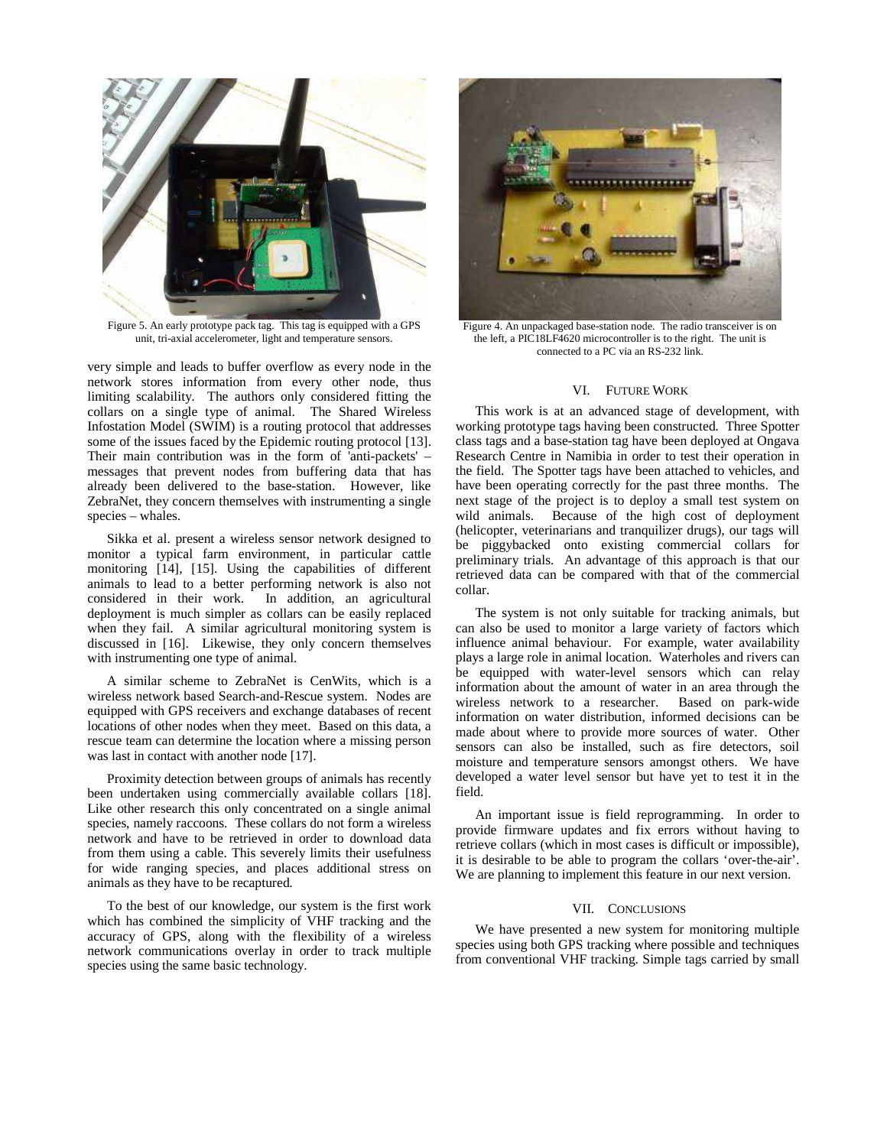

Figure 5. An early prototype pack tag. This tag is equipped with a GPS unit, tri-axial accelerometer, light and temperature sensors.

very simple and leads to buffer overflow as every node in the network stores information from every other node, thus limiting scalability. The authors only considered fitting the collars on a single type of animal. The Shared Wireless Infostation Model (SWIM) is a routing protocol that addresses some of the issues faced by the Epidemic routing protocol [13]. Their main contribution was in the form of 'anti-packets' – messages that prevent nodes from buffering data that has already been delivered to the base-station. However, like ZebraNet, they concern themselves with instrumenting a single species – whales.

Sikka et al. present a wireless sensor network designed to monitor a typical farm environment, in particular cattle monitoring [14], [15]. Using the capabilities of different animals to lead to a better performing network is also not considered in their work. In addition, an agricultural deployment is much simpler as collars can be easily replaced when they fail. A similar agricultural monitoring system is discussed in [16]. Likewise, they only concern themselves with instrumenting one type of animal.

A similar scheme to ZebraNet is CenWits, which is a wireless network based Search-and-Rescue system. Nodes are equipped with GPS receivers and exchange databases of recent locations of other nodes when they meet. Based on this data, a rescue team can determine the location where a missing person was last in contact with another node [17].

Proximity detection between groups of animals has recently been undertaken using commercially available collars [18]. Like other research this only concentrated on a single animal species, namely raccoons. These collars do not form a wireless network and have to be retrieved in order to download data from them using a cable. This severely limits their usefulness for wide ranging species, and places additional stress on animals as they have to be recaptured.

To the best of our knowledge, our system is the first work which has combined the simplicity of VHF tracking and the accuracy of GPS, along with the flexibility of a wireless network communications overlay in order to track multiple species using the same basic technology.



Figure 4. An unpackaged base-station node. The radio transceiver is on the left, a PIC18LF4620 microcontroller is to the right. The unit is connected to a PC via an RS-232 link.

## VI. FUTURE WORK

This work is at an advanced stage of development, with working prototype tags having been constructed. Three Spotter class tags and a base-station tag have been deployed at Ongava Research Centre in Namibia in order to test their operation in the field. The Spotter tags have been attached to vehicles, and have been operating correctly for the past three months. The next stage of the project is to deploy a small test system on wild animals. Because of the high cost of deployment (helicopter, veterinarians and tranquilizer drugs), our tags will be piggybacked onto existing commercial collars for preliminary trials. An advantage of this approach is that our retrieved data can be compared with that of the commercial collar.

The system is not only suitable for tracking animals, but can also be used to monitor a large variety of factors which influence animal behaviour. For example, water availability plays a large role in animal location. Waterholes and rivers can be equipped with water-level sensors which can relay information about the amount of water in an area through the wireless network to a researcher. Based on park-wide information on water distribution, informed decisions can be made about where to provide more sources of water. Other sensors can also be installed, such as fire detectors, soil moisture and temperature sensors amongst others. We have developed a water level sensor but have yet to test it in the field.

An important issue is field reprogramming. In order to provide firmware updates and fix errors without having to retrieve collars (which in most cases is difficult or impossible), it is desirable to be able to program the collars 'over-the-air'. We are planning to implement this feature in our next version.

## VII. CONCLUSIONS

We have presented a new system for monitoring multiple species using both GPS tracking where possible and techniques from conventional VHF tracking. Simple tags carried by small